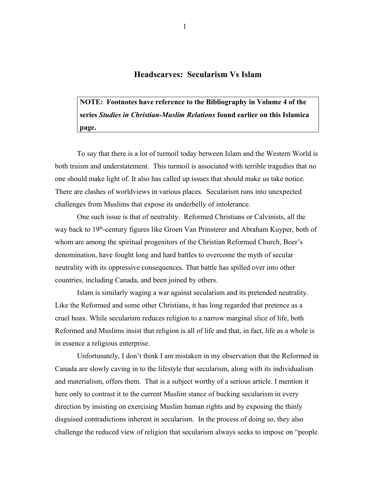## **Headscarves: Secularism Vs Islam**

**NOTE: Footnotes have reference to the Bibliography in Volume 4 of the series** *Studies in Christian-Muslim Relations* **found earlier on this Islamica page.**

To say that there is a lot of turmoil today between Islam and the Western World is both truism and understatement. This turmoil is associated with terrible tragedies that no one should make light of. It also has called up issues that should make us take notice. There are clashes of worldviews in various places. Secularism runs into unexpected challenges from Muslims that expose its underbelly of intolerance.

One such issue is that of neutrality. Reformed Christians or Calvinists, all the way back to 19<sup>th</sup>-century figures like Groen Van Prinsterer and Abraham Kuyper, both of whom are among the spiritual progenitors of the Christian Reformed Church, Boer's denomination, have fought long and hard battles to overcome the myth of secular neutrality with its oppressive consequences. That battle has spilled over into other countries, including Canada, and been joined by others.

Islam is similarly waging a war against secularism and its pretended neutrality. Like the Reformed and some other Christians, it has long regarded that pretence as a cruel hoax. While secularism reduces religion to a narrow marginal slice of life, both Reformed and Muslims insist that religion is all of life and that, in fact, life as a whole is in essence a religious enterprise.

Unfortunately, I don't think I am mistaken in my observation that the Reformed in Canada are slowly caving in to the lifestyle that secularism, along with its individualism and materialism, offers them. That is a subject worthy of a serious article. I mention it here only to contrast it to the current Muslim stance of bucking secularism in every direction by insisting on exercising Muslim human rights and by exposing the thinly disguised contradictions inherent in secularism. In the process of doing so, they also challenge the reduced view of religion that secularism always seeks to impose on "people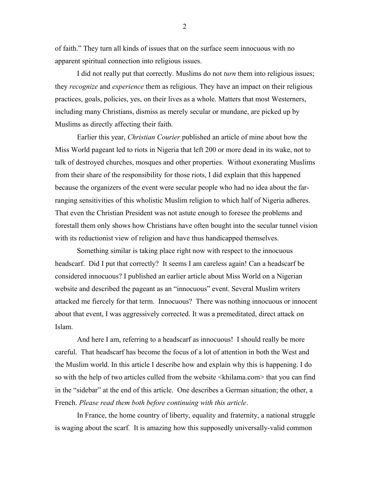of faith." They turn all kinds of issues that on the surface seem innocuous with no apparent spiritual connection into religious issues.

I did not really put that correctly. Muslims do not *turn* them into religious issues; they *recognize* and *experience* them as religious. They have an impact on their religious practices, goals, policies, yes, on their lives as a whole. Matters that most Westerners, including many Christians, dismiss as merely secular or mundane, are picked up by Muslims as directly affecting their faith.

Earlier this year, *Christian Courier* published an article of mine about how the Miss World pageant led to riots in Nigeria that left 200 or more dead in its wake, not to talk of destroyed churches, mosques and other properties. Without exonerating Muslims from their share of the responsibility for those riots, I did explain that this happened because the organizers of the event were secular people who had no idea about the farranging sensitivities of this wholistic Muslim religion to which half of Nigeria adheres. That even the Christian President was not astute enough to foresee the problems and forestall them only shows how Christians have often bought into the secular tunnel vision with its reductionist view of religion and have thus handicapped themselves.

Something similar is taking place right now with respect to the innocuous headscarf. Did I put that correctly? It seems I am careless again! Can a headscarf be considered innocuous? I published an earlier article about Miss World on a Nigerian website and described the pageant as an "innocuous" event. Several Muslim writers attacked me fiercely for that term. Innocuous? There was nothing innocuous or innocent about that event, I was aggressively corrected. It was a premeditated, direct attack on Islam.

And here I am, referring to a headscarf as innocuous! I should really be more careful. That headscarf has become the focus of a lot of attention in both the West and the Muslim world. In this article I describe how and explain why this is happening. I do so with the help of two articles culled from the website  $\le$ khilama.com> that you can find in the "sidebar" at the end of this article. One describes a German situation; the other, a French. *Please read them both before continuing with this article*.

In France, the home country of liberty, equality and fraternity, a national struggle is waging about the scarf*.* It is amazing how this supposedly universally-valid common

2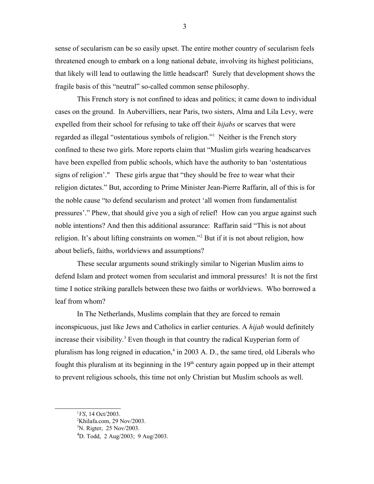sense of secularism can be so easily upset. The entire mother country of secularism feels threatened enough to embark on a long national debate, involving its highest politicians, that likely will lead to outlawing the little headscarf! Surely that development shows the fragile basis of this "neutral" so-called common sense philosophy.

This French story is not confined to ideas and politics; it came down to individual cases on the ground. In Aubervilliers, near Paris, two sisters, Alma and Lila Levy, were expelled from their school for refusing to take off their *hijabs* or scarves that were regarded as illegal "ostentatious symbols of religion."[1](#page-2-0) Neither is the French story confined to these two girls. More reports claim that "Muslim girls wearing headscarves have been expelled from public schools, which have the authority to ban 'ostentatious signs of religion'." These girls argue that "they should be free to wear what their religion dictates." But, according to Prime Minister Jean-Pierre Raffarin, all of this is for the noble cause "to defend secularism and protect 'all women from fundamentalist pressures'." Phew, that should give you a sigh of relief! How can you argue against such noble intentions? And then this additional assurance: Raffarin said "This is not about religion. It's about lifting constraints on women."<sup>[2](#page-2-1)</sup> But if it is not about religion, how about beliefs, faiths, worldviews and assumptions?

These secular arguments sound strikingly similar to Nigerian Muslim aims to defend Islam and protect women from secularist and immoral pressures! It is not the first time I notice striking parallels between these two faiths or worldviews. Who borrowed a leaf from whom?

In The Netherlands, Muslims complain that they are forced to remain inconspicuous, just like Jews and Catholics in earlier centuries. A *hijab* would definitely increase their visibility.<sup>[3](#page-2-2)</sup> Even though in that country the radical Kuyperian form of pluralism has long reigned in education,<sup>[4](#page-2-3)</sup> in 2003 A. D., the same tired, old Liberals who fought this pluralism at its beginning in the  $19<sup>th</sup>$  century again popped up in their attempt to prevent religious schools, this time not only Christian but Muslim schools as well.

<span id="page-2-2"></span><sup>3</sup>N. Rigter, 25 Nov/2003.

<span id="page-2-0"></span><sup>1</sup>*VS*, 14 Oct/2003.

<span id="page-2-1"></span><sup>2</sup>Khilafa.com, 29 Nov/2003.

<span id="page-2-3"></span> $^{4}$ D. Todd, 2 Aug/2003; 9 Aug/2003.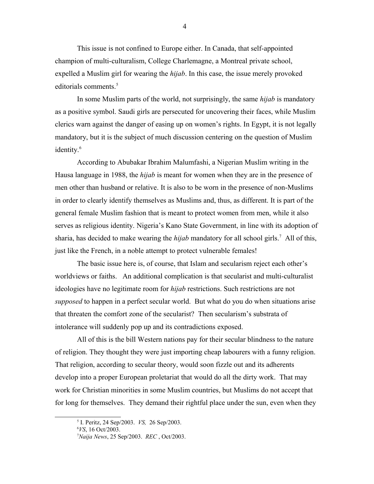This issue is not confined to Europe either. In Canada, that self-appointed champion of multi-culturalism, College Charlemagne, a Montreal private school, expelled a Muslim girl for wearing the *hijab*. In this case, the issue merely provoked editorials comments.<sup>[5](#page-3-0)</sup>

In some Muslim parts of the world, not surprisingly, the same *hijab* is mandatory as a positive symbol. Saudi girls are persecuted for uncovering their faces, while Muslim clerics warn against the danger of easing up on women's rights. In Egypt, it is not legally mandatory, but it is the subject of much discussion centering on the question of Muslim identity.<sup>[6](#page-3-1)</sup>

According to Abubakar Ibrahim Malumfashi, a Nigerian Muslim writing in the Hausa language in 1988, the *hijab* is meant for women when they are in the presence of men other than husband or relative. It is also to be worn in the presence of non-Muslims in order to clearly identify themselves as Muslims and, thus, as different. It is part of the general female Muslim fashion that is meant to protect women from men, while it also serves as religious identity. Nigeria's Kano State Government, in line with its adoption of sharia, has decided to make wearing the *hijab* mandatory for all school girls.<sup>[7](#page-3-2)</sup> All of this, just like the French, in a noble attempt to protect vulnerable females!

The basic issue here is, of course, that Islam and secularism reject each other's worldviews or faiths. An additional complication is that secularist and multi-culturalist ideologies have no legitimate room for *hijab* restrictions. Such restrictions are not *supposed* to happen in a perfect secular world. But what do you do when situations arise that threaten the comfort zone of the secularist? Then secularism's substrata of intolerance will suddenly pop up and its contradictions exposed.

All of this is the bill Western nations pay for their secular blindness to the nature of religion. They thought they were just importing cheap labourers with a funny religion. That religion, according to secular theory, would soon fizzle out and its adherents develop into a proper European proletariat that would do all the dirty work. That may work for Christian minorities in some Muslim countries, but Muslims do not accept that for long for themselves. They demand their rightful place under the sun, even when they

<span id="page-3-0"></span><sup>5</sup> I. Peritz, 24 Sep/2003. *VS,* 26 Sep/2003.

<span id="page-3-1"></span><sup>6</sup>*VS*, 16 Oct/2003.

<span id="page-3-2"></span><sup>7</sup>*Naija News*, 25 Sep/2003. *REC* , Oct/2003.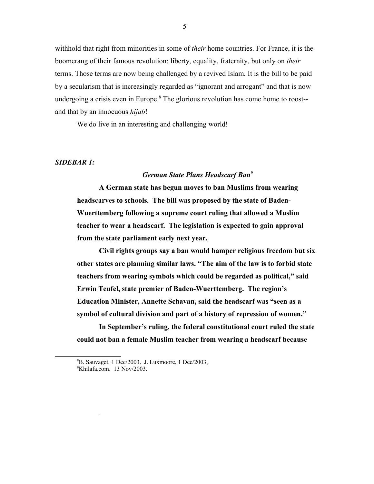withhold that right from minorities in some of *their* home countries. For France, it is the boomerang of their famous revolution: liberty, equality, fraternity, but only on *their* terms. Those terms are now being challenged by a revived Islam. It is the bill to be paid by a secularism that is increasingly regarded as "ignorant and arrogant" and that is now undergoing a crisis even in Europe.<sup>[8](#page-4-0)</sup> The glorious revolution has come home to roost-and that by an innocuous *hijab*!

We do live in an interesting and challenging world!

## *SIDEBAR 1:*

## *German State Plans Headscarf Ban[9](#page-4-1)*

**A German state has begun moves to ban Muslims from wearing headscarves to schools. The bill was proposed by the state of Baden-Wuerttemberg following a supreme court ruling that allowed a Muslim teacher to wear a headscarf. The legislation is expected to gain approval from the state parliament early next year.**

**Civil rights groups say a ban would hamper religious freedom but six other states are planning similar laws. "The aim of the law is to forbid state teachers from wearing symbols which could be regarded as political," said Erwin Teufel, state premier of Baden-Wuerttemberg. The region's Education Minister, Annette Schavan, said the headscarf was "seen as a symbol of cultural division and part of a history of repression of women."**

**In September's ruling, the federal constitutional court ruled the state could not ban a female Muslim teacher from wearing a headscarf because** 

.

<span id="page-4-1"></span><span id="page-4-0"></span> ${}^{8}B.$  Sauvaget, 1 Dec/2003. J. Luxmoore, 1 Dec/2003, <sup>9</sup>Khilafa.com. 13 Nov/2003.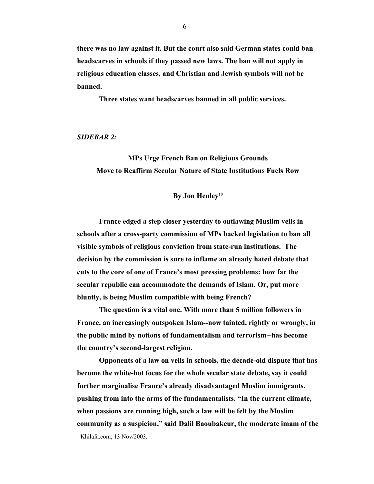**there was no law against it. But the court also said German states could ban headscarves in schools if they passed new laws. The ban will not apply in religious education classes, and Christian and Jewish symbols will not be banned.**

**Three states want headscarves banned in all public services.** 

**=============**

*SIDEBAR 2:*

**MPs Urge French Ban on Religious Grounds Move to Reaffirm Secular Nature of State Institutions Fuels Row**

## **By Jon Henley[10](#page-5-0)**

**France edged a step closer yesterday to outlawing Muslim veils in schools after a cross-party commission of MPs backed legislation to ban all visible symbols of religious conviction from state-run institutions. The decision by the commission is sure to inflame an already hated debate that cuts to the core of one of France's most pressing problems: how far the secular republic can accommodate the demands of Islam. Or, put more bluntly, is being Muslim compatible with being French?**

**The question is a vital one. With more than 5 million followers in France, an increasingly outspoken Islam--now tainted, rightly or wrongly, in the public mind by notions of fundamentalism and terrorism--has become the country's second-largest religion.** 

**Opponents of a law on veils in schools, the decade-old dispute that has become the white-hot focus for the whole secular state debate, say it could further marginalise France's already disadvantaged Muslim immigrants, pushing from into the arms of the fundamentalists. "In the current climate, when passions are running high, such a law will be felt by the Muslim community as a suspicion," said Dalil Baoubakeur, the moderate imam of the**

<span id="page-5-0"></span><sup>10</sup>Khilafa.com, 13 Nov/2003.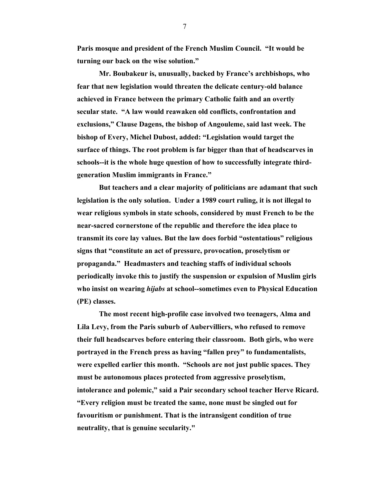**Paris mosque and president of the French Muslim Council. "It would be turning our back on the wise solution."** 

**Mr. Boubakeur is, unusually, backed by France's archbishops, who fear that new legislation would threaten the delicate century-old balance achieved in France between the primary Catholic faith and an overtly secular state. "A law would reawaken old conflicts, confrontation and exclusions," Clause Dagens, the bishop of Angouleme, said last week. The bishop of Every, Michel Dubost, added: "Legislation would target the surface of things. The root problem is far bigger than that of headscarves in schools--it is the whole huge question of how to successfully integrate thirdgeneration Muslim immigrants in France."**

**But teachers and a clear majority of politicians are adamant that such legislation is the only solution. Under a 1989 court ruling, it is not illegal to wear religious symbols in state schools, considered by must French to be the near-sacred cornerstone of the republic and therefore the idea place to transmit its core lay values. But the law does forbid "ostentatious" religious signs that "constitute an act of pressure, provocation, proselytism or propaganda." Headmasters and teaching staffs of individual schools periodically invoke this to justify the suspension or expulsion of Muslim girls who insist on wearing** *hijabs* **at school--sometimes even to Physical Education (PE) classes.**

**The most recent high-profile case involved two teenagers, Alma and Lila Levy, from the Paris suburb of Aubervilliers, who refused to remove their full headscarves before entering their classroom. Both girls, who were portrayed in the French press as having "fallen prey" to fundamentalists, were expelled earlier this month. "Schools are not just public spaces. They must be autonomous places protected from aggressive proselytism, intolerance and polemic," said a Pair secondary school teacher Herve Ricard. "Every religion must be treated the same, none must be singled out for favouritism or punishment. That is the intransigent condition of true neutrality, that is genuine secularity."**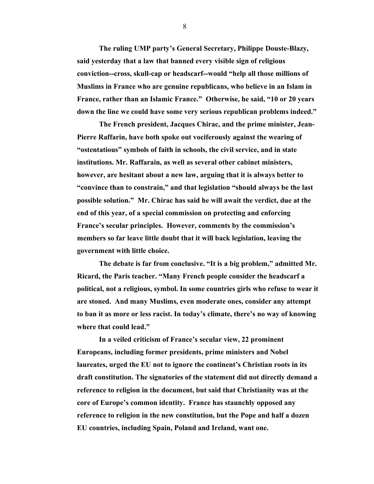**The ruling UMP party's General Secretary, Philippe Douste-Blazy, said yesterday that a law that banned every visible sign of religious conviction--cross, skull-cap or headscarf--would "help all those millions of Muslims in France who are genuine republicans, who believe in an Islam in France, rather than an Islamic France." Otherwise, he said, "10 or 20 years down the line we could have some very serious republican problems indeed."**

**The French president, Jacques Chirac, and the prime minister, Jean-Pierre Raffarin, have both spoke out vociferously against the wearing of "ostentatious" symbols of faith in schools, the civil service, and in state institutions. Mr. Raffarain, as well as several other cabinet ministers, however, are hesitant about a new law, arguing that it is always better to "convince than to constrain," and that legislation "should always be the last possible solution." Mr. Chirac has said he will await the verdict, due at the end of this year, of a special commission on protecting and enforcing France's secular principles. However, comments by the commission's members so far leave little doubt that it will back legislation, leaving the government with little choice.**

**The debate is far from conclusive. "It is a big problem," admitted Mr. Ricard, the Paris teacher. "Many French people consider the headscarf a political, not a religious, symbol. In some countries girls who refuse to wear it are stoned. And many Muslims, even moderate ones, consider any attempt to ban it as more or less racist. In today's climate, there's no way of knowing where that could lead."**

**In a veiled criticism of France's secular view, 22 prominent Europeans, including former presidents, prime ministers and Nobel laureates, urged the EU not to ignore the continent's Christian roots in its draft constitution. The signatories of the statement did not directly demand a reference to religion in the document, but said that Christianity was at the core of Europe's common identity. France has staunchly opposed any reference to religion in the new constitution, but the Pope and half a dozen EU countries, including Spain, Poland and Ireland, want one.**

8